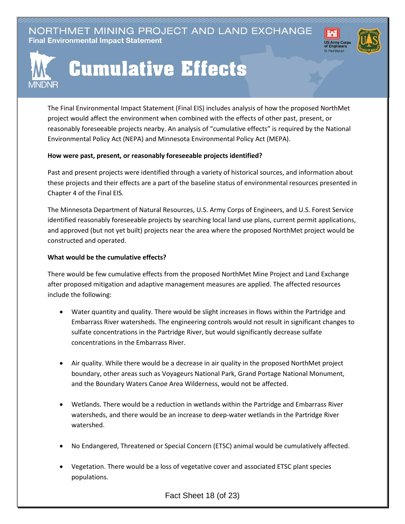NORTHMET MINING PROJECT AND LAND EXCHANGE **Final Environmental Impact Statement** 



## **Cumulative Effects**

The Final Environmental Impact Statement (Final EIS) includes analysis of how the proposed NorthMet project would affect the environment when combined with the effects of other past, present, or reasonably foreseeable projects nearby. An analysis of "cumulative effects" is required by the National Environmental Policy Act (NEPA) and Minnesota Environmental Policy Act (MEPA).

⊮₩

## **How were past, present, or reasonably foreseeable projects identified?**

Past and present projects were identified through a variety of historical sources, and information about these projects and their effects are a part of the baseline status of environmental resources presented in Chapter 4 of the Final EIS.

The Minnesota Department of Natural Resources, U.S. Army Corps of Engineers, and U.S. Forest Service identified reasonably foreseeable projects by searching local land use plans, current permit applications, and approved (but not yet built) projects near the area where the proposed NorthMet project would be constructed and operated.

## **What would be the cumulative effects?**

There would be few cumulative effects from the proposed NorthMet Mine Project and Land Exchange after proposed mitigation and adaptive management measures are applied. The affected resources include the following:

- Water quantity and quality. There would be slight increases in flows within the Partridge and Embarrass River watersheds. The engineering controls would not result in significant changes to sulfate concentrations in the Partridge River, but would significantly decrease sulfate concentrations in the Embarrass River.
- Air quality. While there would be a decrease in air quality in the proposed NorthMet project boundary, other areas such as Voyageurs National Park, Grand Portage National Monument, and the Boundary Waters Canoe Area Wilderness, would not be affected.
- Wetlands. There would be a reduction in wetlands within the Partridge and Embarrass River watersheds, and there would be an increase to deep-water wetlands in the Partridge River watershed.
- No Endangered, Threatened or Special Concern (ETSC) animal would be cumulatively affected.
- Vegetation. There would be a loss of vegetative cover and associated ETSC plant species populations.

Fact Sheet 18 (of 23)